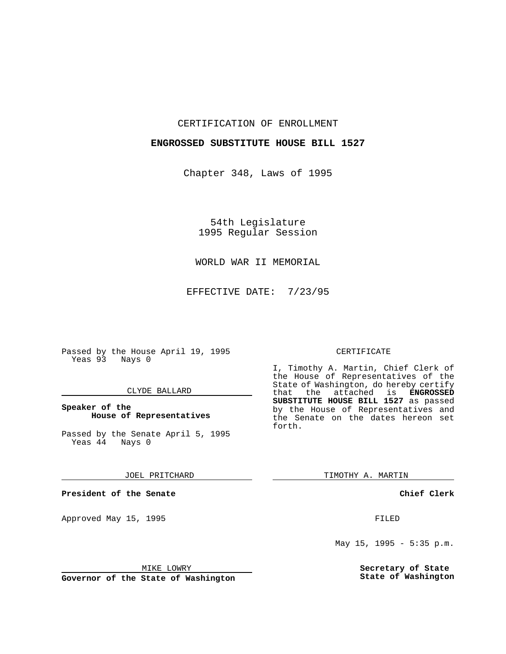CERTIFICATION OF ENROLLMENT

## **ENGROSSED SUBSTITUTE HOUSE BILL 1527**

Chapter 348, Laws of 1995

54th Legislature 1995 Regular Session

WORLD WAR II MEMORIAL

EFFECTIVE DATE: 7/23/95

Passed by the House April 19, 1995 Yeas 93 Nays 0

#### CLYDE BALLARD

## **Speaker of the House of Representatives**

Passed by the Senate April 5, 1995<br>Yeas 44 Nays 0  $Yeas$  44

JOEL PRITCHARD

**President of the Senate**

Approved May 15, 1995 FILED

MIKE LOWRY

**Governor of the State of Washington**

### CERTIFICATE

I, Timothy A. Martin, Chief Clerk of the House of Representatives of the State of Washington, do hereby certify that the attached is **ENGROSSED SUBSTITUTE HOUSE BILL 1527** as passed by the House of Representatives and the Senate on the dates hereon set forth.

TIMOTHY A. MARTIN

**Chief Clerk**

May 15, 1995 - 5:35 p.m.

**Secretary of State State of Washington**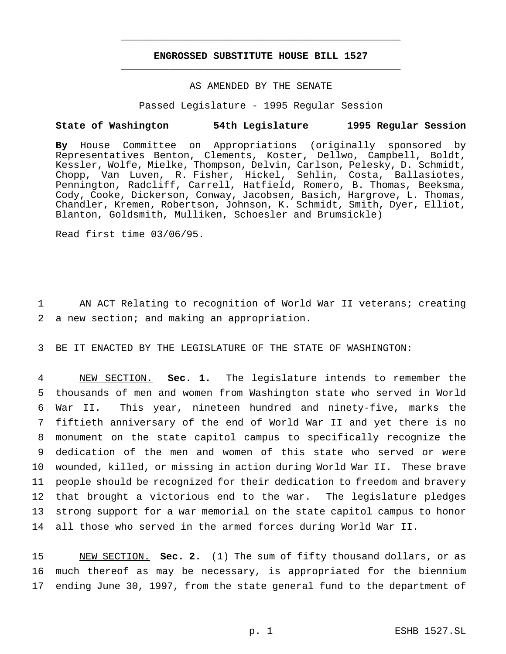# **ENGROSSED SUBSTITUTE HOUSE BILL 1527** \_\_\_\_\_\_\_\_\_\_\_\_\_\_\_\_\_\_\_\_\_\_\_\_\_\_\_\_\_\_\_\_\_\_\_\_\_\_\_\_\_\_\_\_\_\_\_

\_\_\_\_\_\_\_\_\_\_\_\_\_\_\_\_\_\_\_\_\_\_\_\_\_\_\_\_\_\_\_\_\_\_\_\_\_\_\_\_\_\_\_\_\_\_\_

## AS AMENDED BY THE SENATE

Passed Legislature - 1995 Regular Session

### **State of Washington 54th Legislature 1995 Regular Session**

**By** House Committee on Appropriations (originally sponsored by Representatives Benton, Clements, Koster, Dellwo, Campbell, Boldt, Kessler, Wolfe, Mielke, Thompson, Delvin, Carlson, Pelesky, D. Schmidt, Chopp, Van Luven, R. Fisher, Hickel, Sehlin, Costa, Ballasiotes, Pennington, Radcliff, Carrell, Hatfield, Romero, B. Thomas, Beeksma, Cody, Cooke, Dickerson, Conway, Jacobsen, Basich, Hargrove, L. Thomas, Chandler, Kremen, Robertson, Johnson, K. Schmidt, Smith, Dyer, Elliot, Blanton, Goldsmith, Mulliken, Schoesler and Brumsickle)

Read first time 03/06/95.

1 AN ACT Relating to recognition of World War II veterans; creating 2 a new section; and making an appropriation.

3 BE IT ENACTED BY THE LEGISLATURE OF THE STATE OF WASHINGTON:

 NEW SECTION. **Sec. 1.** The legislature intends to remember the thousands of men and women from Washington state who served in World War II. This year, nineteen hundred and ninety-five, marks the fiftieth anniversary of the end of World War II and yet there is no monument on the state capitol campus to specifically recognize the dedication of the men and women of this state who served or were wounded, killed, or missing in action during World War II. These brave people should be recognized for their dedication to freedom and bravery that brought a victorious end to the war. The legislature pledges strong support for a war memorial on the state capitol campus to honor all those who served in the armed forces during World War II.

15 NEW SECTION. **Sec. 2.** (1) The sum of fifty thousand dollars, or as 16 much thereof as may be necessary, is appropriated for the biennium 17 ending June 30, 1997, from the state general fund to the department of